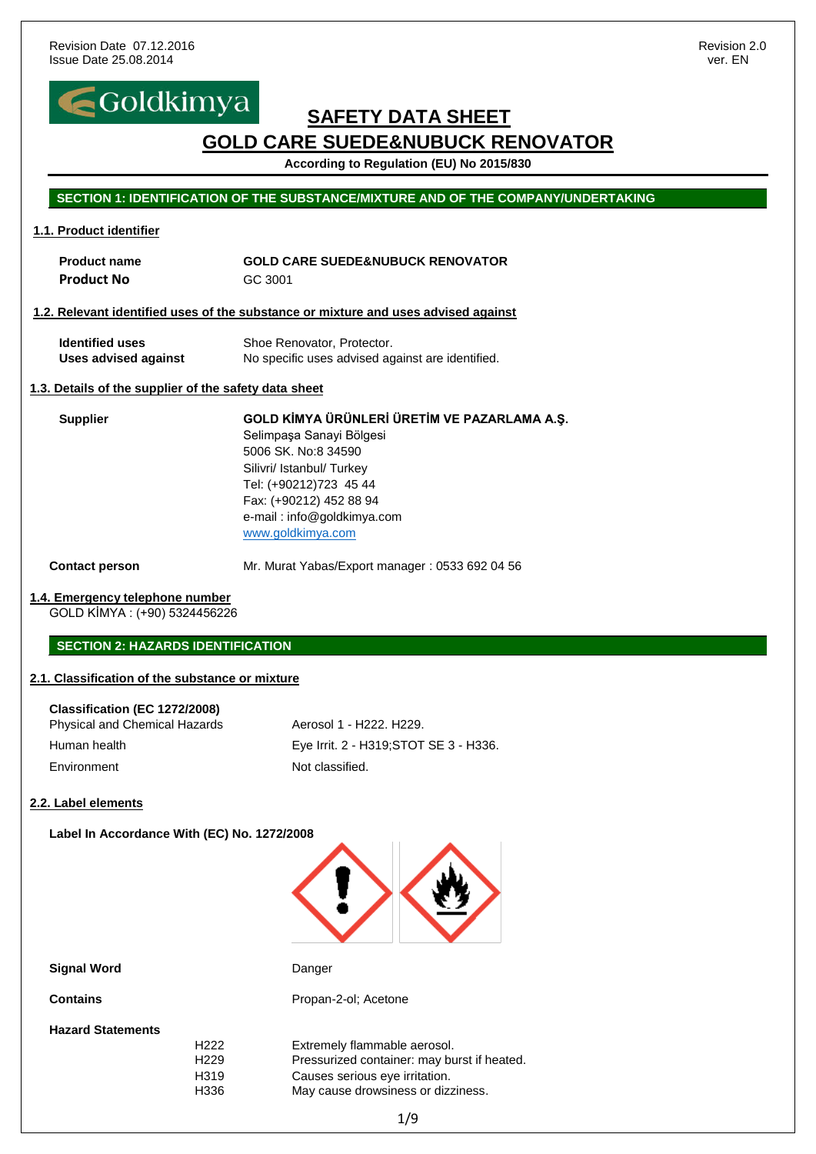

**According to Regulation (EU) No 2015/830**

#### **SECTION 1: IDENTIFICATION OF THE SUBSTANCE/MIXTURE AND OF THE COMPANY/UNDERTAKING**

#### **1.1. Product identifier**

| <b>Product name</b> | <b>GOLD CARE SUEDE&amp;NUBUCK RENOVATOR</b> |
|---------------------|---------------------------------------------|
| <b>Product No</b>   | GC 3001                                     |

#### **1.2. Relevant identified uses of the substance or mixture and uses advised against**

| <b>Identified uses</b> | Shoe Renovator, Protector.                       |
|------------------------|--------------------------------------------------|
| Uses advised against   | No specific uses advised against are identified. |

#### **1.3. Details of the supplier of the safety data sheet**

**Supplier GOLD KİMYA ÜRÜNLERİ ÜRETİM VE PAZARLAMA A.Ş.** Selimpaşa Sanayi Bölgesi 5006 SK. No:8 34590 Silivri/ Istanbul/ Turkey Tel: (+90212)723 45 44 Fax: (+90212) 452 88 94 e-mail : info@goldkimya.com [www.goldkimya.com](http://www.goldkimya.com/)

**Contact person** Mr. Murat Yabas/Export manager : 0533 692 04 56

#### **1.4. Emergency telephone number**

GOLD KİMYA : (+90) 5324456226

#### **SECTION 2: HAZARDS IDENTIFICATION**

#### **2.1. Classification of the substance or mixture**

| Classification (EC 1272/2008)<br>Physical and Chemical Hazards | Aerosol 1 - H222, H229.                |
|----------------------------------------------------------------|----------------------------------------|
| Human health                                                   | Eye Irrit. 2 - H319; STOT SE 3 - H336. |
| Environment                                                    | Not classified.                        |

#### **2.2. Label elements**

**Label In Accordance With (EC) No. 1272/2008**



#### **Signal Word** Danger

**Contains Contains Propan-2-ol; Acetone** 

**Hazard Statements**

H222 Extremely flammable aerosol. H229 Pressurized container: may burst if heated. H319 Causes serious eye irritation. H336 May cause drowsiness or dizziness.

1/9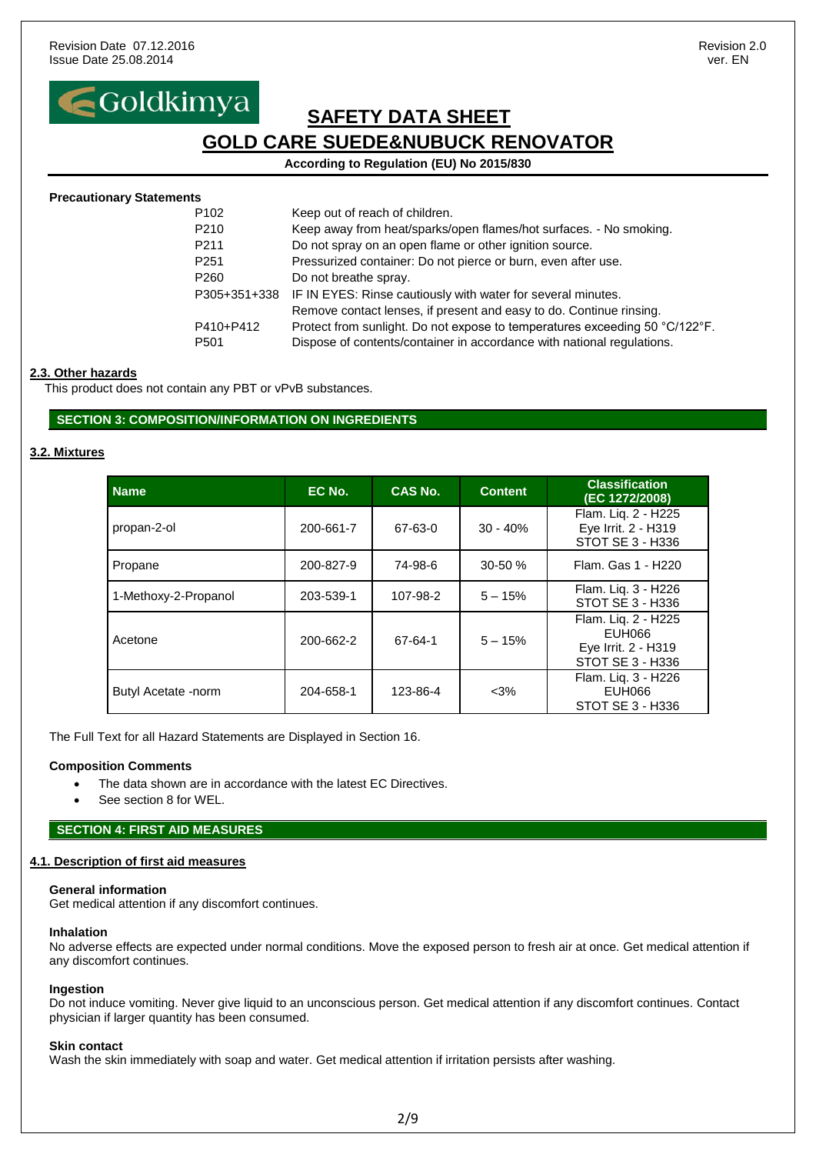**According to Regulation (EU) No 2015/830**

| <b>Precautionary Statements</b> |                                                                             |
|---------------------------------|-----------------------------------------------------------------------------|
| P <sub>102</sub>                | Keep out of reach of children.                                              |
| P <sub>210</sub>                | Keep away from heat/sparks/open flames/hot surfaces. - No smoking.          |
| P <sub>211</sub>                | Do not spray on an open flame or other ignition source.                     |
| P <sub>251</sub>                | Pressurized container: Do not pierce or burn, even after use.               |
| P <sub>260</sub>                | Do not breathe spray.                                                       |
| P305+351+338                    | IF IN EYES: Rinse cautiously with water for several minutes.                |
|                                 | Remove contact lenses, if present and easy to do. Continue rinsing.         |
| P410+P412                       | Protect from sunlight. Do not expose to temperatures exceeding 50 °C/122°F. |
| P <sub>501</sub>                | Dispose of contents/container in accordance with national regulations.      |
|                                 |                                                                             |

#### **2.3. Other hazards**

This product does not contain any PBT or vPvB substances.

#### **SECTION 3: COMPOSITION/INFORMATION ON INGREDIENTS**

#### **3.2. Mixtures**

| <b>Name</b>          | EC No.    | CAS No.  | <b>Content</b> | <b>Classification</b><br>(EC 1272/2008)                                  |
|----------------------|-----------|----------|----------------|--------------------------------------------------------------------------|
| propan-2-ol          | 200-661-7 | 67-63-0  | $30 - 40%$     | Flam. Lig. 2 - H225<br>Eye Irrit. 2 - H319<br>STOT SE 3 - H336           |
| Propane              | 200-827-9 | 74-98-6  | $30 - 50%$     | Flam. Gas 1 - H220                                                       |
| 1-Methoxy-2-Propanol | 203-539-1 | 107-98-2 | $5 - 15%$      | Flam. Liq. 3 - H226<br>STOT SE 3 - H336                                  |
| Acetone              | 200-662-2 | 67-64-1  | $5 - 15%$      | Flam. Lig. 2 - H225<br>EUH066<br>Eye Irrit. 2 - H319<br>STOT SE 3 - H336 |
| Butyl Acetate -norm  | 204-658-1 | 123-86-4 | $<3\%$         | Flam. Lig. 3 - H226<br>EUH066<br>STOT SE 3 - H336                        |

The Full Text for all Hazard Statements are Displayed in Section 16.

#### **Composition Comments**

- The data shown are in accordance with the latest EC Directives.
- See section 8 for WEL.

#### **SECTION 4: FIRST AID MEASURES**

#### **4.1. Description of first aid measures**

#### **General information**

Get medical attention if any discomfort continues.

#### **Inhalation**

No adverse effects are expected under normal conditions. Move the exposed person to fresh air at once. Get medical attention if any discomfort continues.

#### **Ingestion**

Do not induce vomiting. Never give liquid to an unconscious person. Get medical attention if any discomfort continues. Contact physician if larger quantity has been consumed.

#### **Skin contact**

Wash the skin immediately with soap and water. Get medical attention if irritation persists after washing.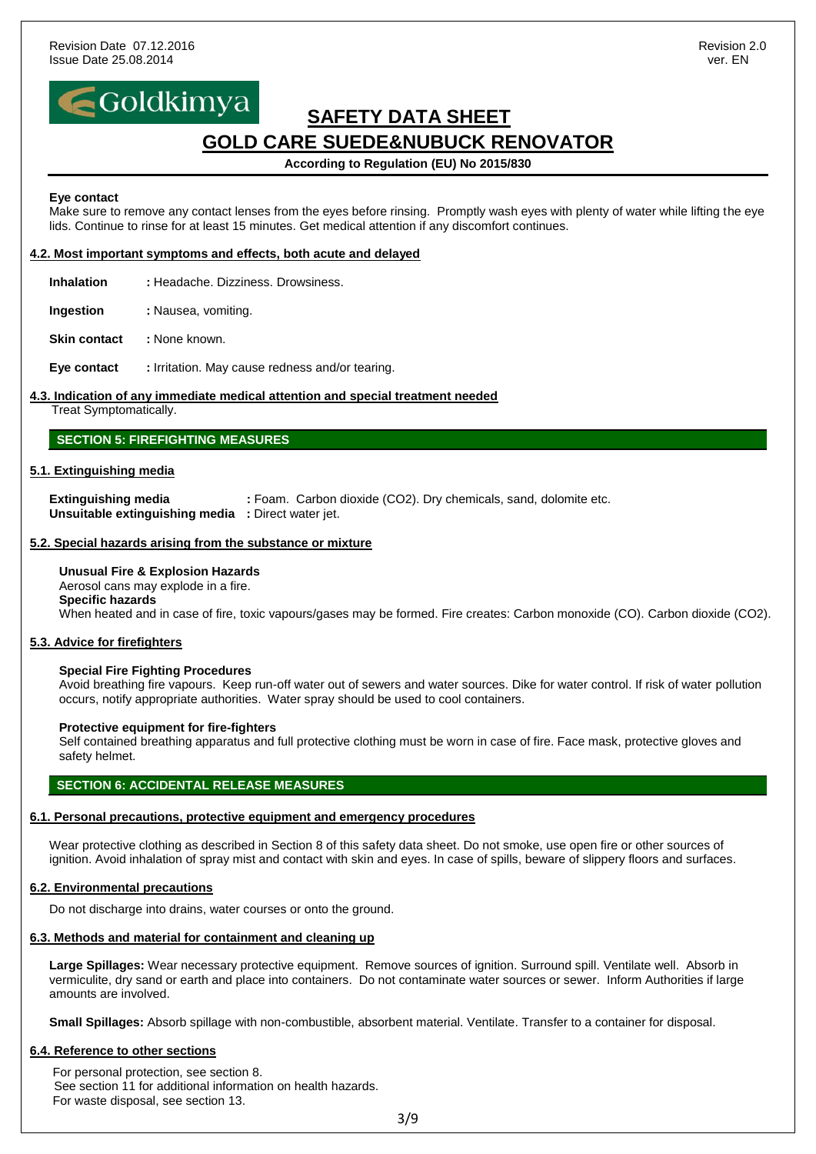## Goldkimya

### **SAFETY DATA SHEET GOLD CARE SUEDE&NUBUCK RENOVATOR**

#### **According to Regulation (EU) No 2015/830**

#### **Eye contact**

Make sure to remove any contact lenses from the eyes before rinsing. Promptly wash eyes with plenty of water while lifting the eye lids. Continue to rinse for at least 15 minutes. Get medical attention if any discomfort continues.

#### **4.2. Most important symptoms and effects, both acute and delayed**

**Inhalation :** Headache. Dizziness. Drowsiness.

**Ingestion** : Nausea, vomiting.

**Skin contact : None known.** 

**Eye contact :** Irritation. May cause redness and/or tearing.

#### **4.3. Indication of any immediate medical attention and special treatment needed**

Treat Symptomatically.

#### **SECTION 5: FIREFIGHTING MEASURES**

#### **5.1. Extinguishing media**

**Extinguishing media : Foam. Carbon dioxide (CO2). Dry chemicals, sand, dolomite etc. Unsuitable extinguishing media :** Direct water jet.

#### **5.2. Special hazards arising from the substance or mixture**

#### **Unusual Fire & Explosion Hazards**

Aerosol cans may explode in a fire. **Specific hazards** When heated and in case of fire, toxic vapours/gases may be formed. Fire creates: Carbon monoxide (CO). Carbon dioxide (CO2).

#### **5.3. Advice for firefighters**

#### **Special Fire Fighting Procedures**

Avoid breathing fire vapours. Keep run-off water out of sewers and water sources. Dike for water control. If risk of water pollution occurs, notify appropriate authorities. Water spray should be used to cool containers.

#### **Protective equipment for fire-fighters**

Self contained breathing apparatus and full protective clothing must be worn in case of fire. Face mask, protective gloves and safety helmet.

#### **SECTION 6: ACCIDENTAL RELEASE MEASURES**

#### **6.1. Personal precautions, protective equipment and emergency procedures**

Wear protective clothing as described in Section 8 of this safety data sheet. Do not smoke, use open fire or other sources of ignition. Avoid inhalation of spray mist and contact with skin and eyes. In case of spills, beware of slippery floors and surfaces.

#### **6.2. Environmental precautions**

Do not discharge into drains, water courses or onto the ground.

#### **6.3. Methods and material for containment and cleaning up**

**Large Spillages:** Wear necessary protective equipment. Remove sources of ignition. Surround spill. Ventilate well. Absorb in vermiculite, dry sand or earth and place into containers. Do not contaminate water sources or sewer. Inform Authorities if large amounts are involved.

**Small Spillages:** Absorb spillage with non-combustible, absorbent material. Ventilate. Transfer to a container for disposal.

#### **6.4. Reference to other sections**

For personal protection, see section 8. See section 11 for additional information on health hazards. For waste disposal, see section 13.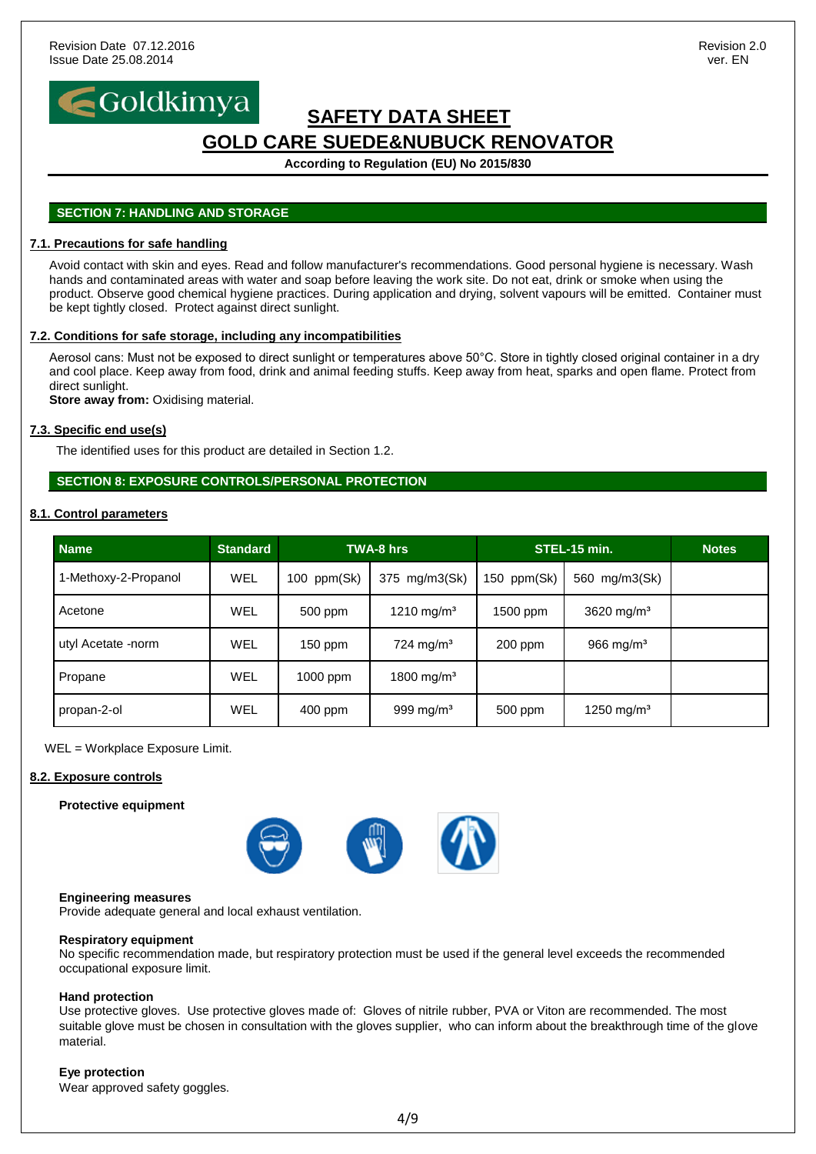

**According to Regulation (EU) No 2015/830**

#### **SECTION 7: HANDLING AND STORAGE**

#### **7.1. Precautions for safe handling**

Avoid contact with skin and eyes. Read and follow manufacturer's recommendations. Good personal hygiene is necessary. Wash hands and contaminated areas with water and soap before leaving the work site. Do not eat, drink or smoke when using the product. Observe good chemical hygiene practices. During application and drying, solvent vapours will be emitted. Container must be kept tightly closed. Protect against direct sunlight.

#### **7.2. Conditions for safe storage, including any incompatibilities**

Aerosol cans: Must not be exposed to direct sunlight or temperatures above 50°C. Store in tightly closed original container in a dry and cool place. Keep away from food, drink and animal feeding stuffs. Keep away from heat, sparks and open flame. Protect from direct sunlight.

**Store away from:** Oxidising material.

#### **7.3. Specific end use(s)**

The identified uses for this product are detailed in Section 1.2.

#### **SECTION 8: EXPOSURE CONTROLS/PERSONAL PROTECTION**

#### **8.1. Control parameters**

| <b>Name</b>          | <b>Standard</b> |             | <b>TWA-8</b> hrs        |               | STEL-15 min.           | <b>Notes</b> |
|----------------------|-----------------|-------------|-------------------------|---------------|------------------------|--------------|
| 1-Methoxy-2-Propanol | <b>WEL</b>      | 100 ppm(Sk) | 375 mg/m3(Sk)           | 150 $ppm(Sk)$ | 560 mg/m3(Sk)          |              |
| Acetone              | <b>WEL</b>      | 500 ppm     | 1210 mg/m <sup>3</sup>  | 1500 ppm      | 3620 mg/m <sup>3</sup> |              |
| utyl Acetate -norm   | <b>WEL</b>      | $150$ ppm   | $724$ mg/m <sup>3</sup> | 200 ppm       | 966 mg/ $m3$           |              |
| Propane              | <b>WEL</b>      | 1000 ppm    | 1800 mg/m <sup>3</sup>  |               |                        |              |
| propan-2-ol          | <b>WEL</b>      | 400 ppm     | 999 mg/m <sup>3</sup>   | 500 ppm       | 1250 mg/m <sup>3</sup> |              |

WEL = Workplace Exposure Limit.

#### **8.2. Exposure controls**

#### **Protective equipment**



#### **Engineering measures**

Provide adequate general and local exhaust ventilation.

#### **Respiratory equipment**

No specific recommendation made, but respiratory protection must be used if the general level exceeds the recommended occupational exposure limit.

#### **Hand protection**

Use protective gloves. Use protective gloves made of: Gloves of nitrile rubber, PVA or Viton are recommended. The most suitable glove must be chosen in consultation with the gloves supplier, who can inform about the breakthrough time of the glove material.

#### **Eye protection**

Wear approved safety goggles.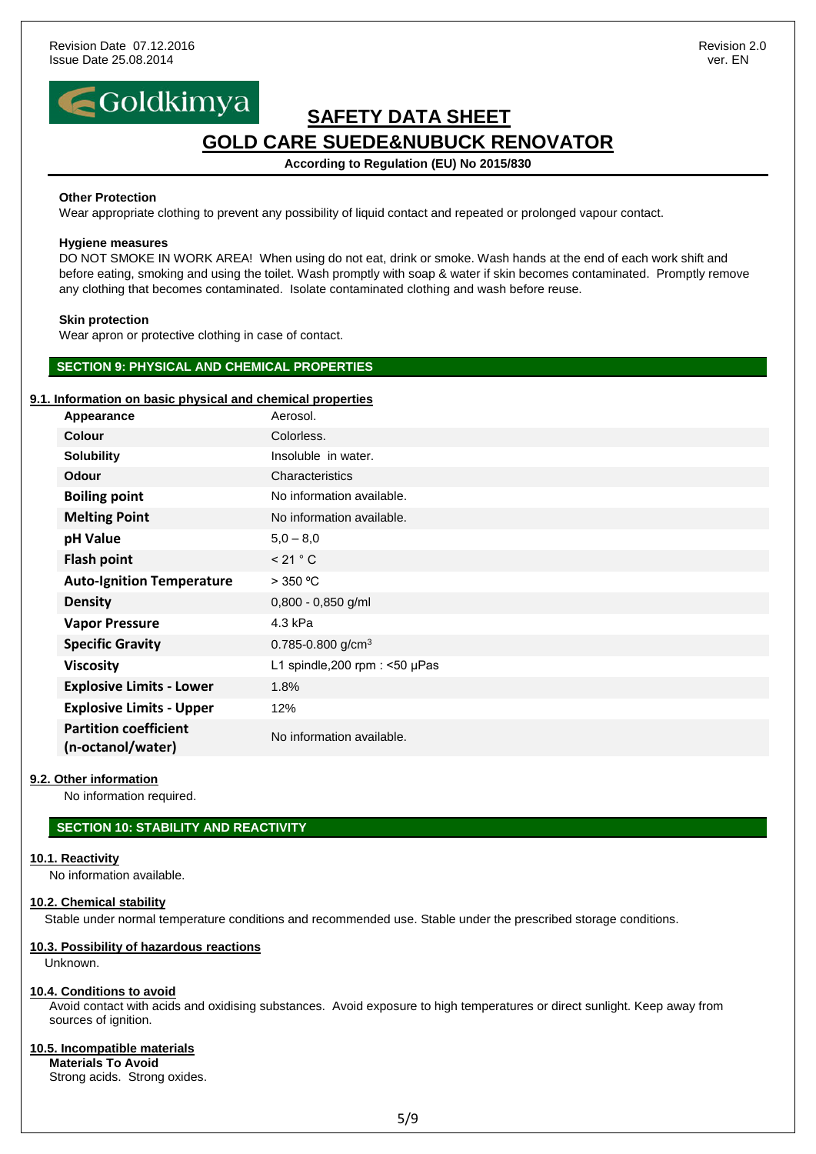## Goldkimya

### **SAFETY DATA SHEET GOLD CARE SUEDE&NUBUCK RENOVATOR**

**According to Regulation (EU) No 2015/830**

#### **Other Protection**

Wear appropriate clothing to prevent any possibility of liquid contact and repeated or prolonged vapour contact.

#### **Hygiene measures**

DO NOT SMOKE IN WORK AREA! When using do not eat, drink or smoke. Wash hands at the end of each work shift and before eating, smoking and using the toilet. Wash promptly with soap & water if skin becomes contaminated. Promptly remove any clothing that becomes contaminated. Isolate contaminated clothing and wash before reuse.

#### **Skin protection**

Wear apron or protective clothing in case of contact.

#### **SECTION 9: PHYSICAL AND CHEMICAL PROPERTIES**

#### **9.1. Information on basic physical and chemical properties**

| Appearance                                        | Aerosol.                          |
|---------------------------------------------------|-----------------------------------|
| <b>Colour</b>                                     | Colorless.                        |
| <b>Solubility</b>                                 | Insoluble in water.               |
| <b>Odour</b>                                      | Characteristics                   |
| <b>Boiling point</b>                              | No information available.         |
| <b>Melting Point</b>                              | No information available.         |
| pH Value                                          | $5,0 - 8,0$                       |
| <b>Flash point</b>                                | < 21 °C                           |
| <b>Auto-Ignition Temperature</b>                  | $>$ 350 °C                        |
| <b>Density</b>                                    | $0,800 - 0,850$ g/ml              |
| <b>Vapor Pressure</b>                             | 4.3 kPa                           |
| <b>Specific Gravity</b>                           | 0.785-0.800 g/cm <sup>3</sup>     |
| <b>Viscosity</b>                                  | L1 spindle, 200 rpm : $<$ 50 µPas |
| <b>Explosive Limits - Lower</b>                   | 1.8%                              |
| <b>Explosive Limits - Upper</b>                   | 12%                               |
| <b>Partition coefficient</b><br>(n-octanol/water) | No information available.         |

#### **9.2. Other information**

No information required.

#### **SECTION 10: STABILITY AND REACTIVITY**

#### **10.1. Reactivity**

No information available.

#### **10.2. Chemical stability**

Stable under normal temperature conditions and recommended use. Stable under the prescribed storage conditions.

#### **10.3. Possibility of hazardous reactions**

Unknown.

#### **10.4. Conditions to avoid**

Avoid contact with acids and oxidising substances. Avoid exposure to high temperatures or direct sunlight. Keep away from sources of ignition.

#### **10.5. Incompatible materials**

**Materials To Avoid** Strong acids. Strong oxides.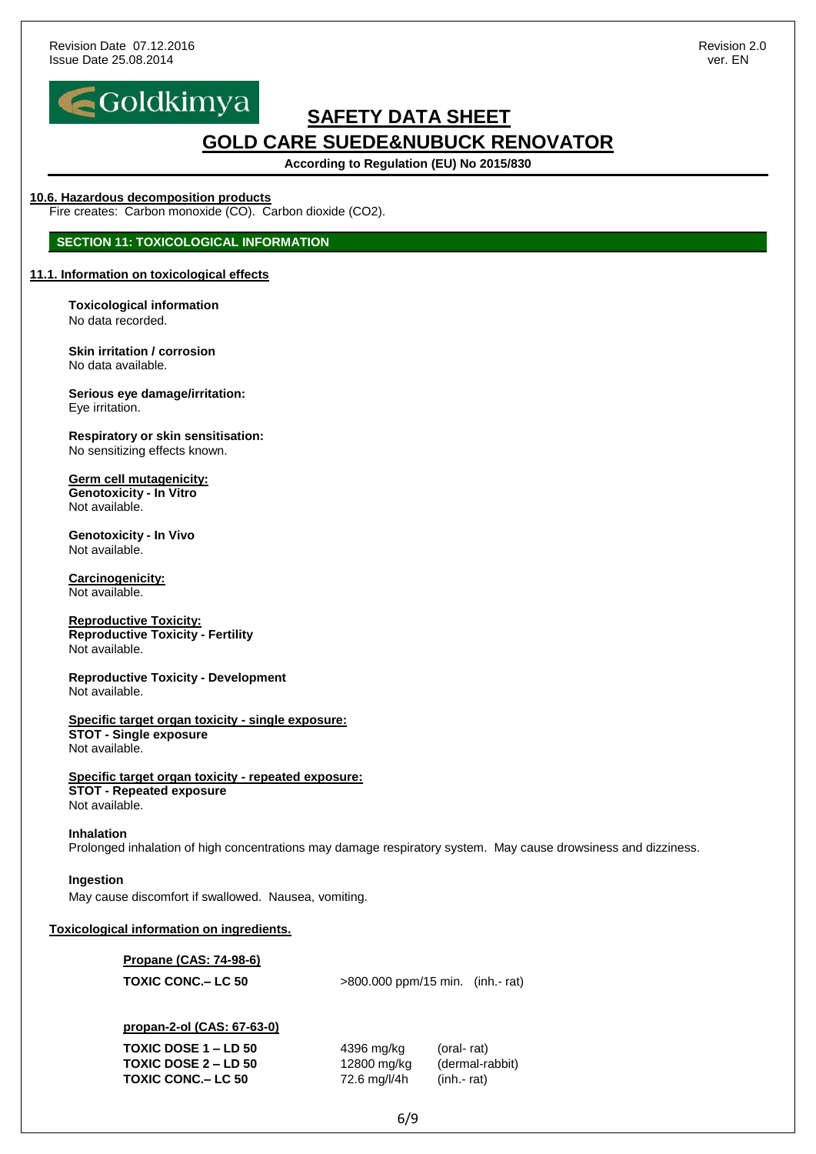

**According to Regulation (EU) No 2015/830**

#### **10.6. Hazardous decomposition products**

Fire creates: Carbon monoxide (CO). Carbon dioxide (CO2).

#### **SECTION 11: TOXICOLOGICAL INFORMATION**

#### **11.1. Information on toxicological effects**

**Toxicological information** No data recorded.

**Skin irritation / corrosion** No data available.

**Serious eye damage/irritation:** Eye irritation.

**Respiratory or skin sensitisation:** No sensitizing effects known.

#### **Germ cell mutagenicity:**

**Genotoxicity - In Vitro** Not available.

**Genotoxicity - In Vivo** Not available.

**Carcinogenicity:** Not available.

**Reproductive Toxicity: Reproductive Toxicity - Fertility** Not available.

**Reproductive Toxicity - Development** Not available.

#### **Specific target organ toxicity - single exposure: STOT - Single exposure**

Not available.

### **Specific target organ toxicity - repeated exposure:**

**STOT - Repeated exposure** Not available.

#### **Inhalation**

Prolonged inhalation of high concentrations may damage respiratory system. May cause drowsiness and dizziness.

#### **Ingestion**

May cause discomfort if swallowed. Nausea, vomiting.

#### **Toxicological information on ingredients.**

**Propane (CAS: 74-98-6)**

| >800.000 ppm/15 min. (inh.- rat) |
|----------------------------------|
|                                  |

#### **propan-2-ol (CAS: 67-63-0)**

**TOXIC DOSE 1 – LD 50** 4396 mg/kg (oral- rat) **TOXIC DOSE 2 – LD 50** 12800 mg/kg (dermal-rabbit) **TOXIC CONC.– LC 50** 72.6 mg/l/4h (inh.- rat)

6/9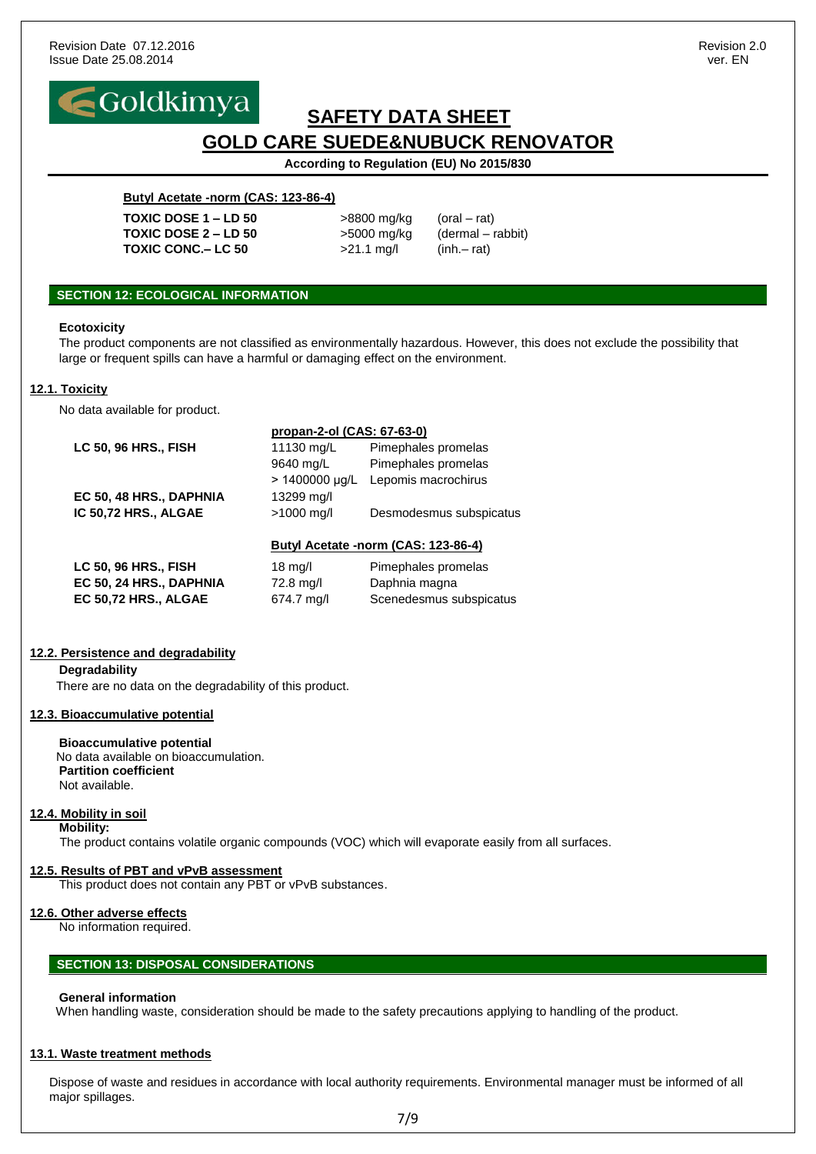

**According to Regulation (EU) No 2015/830**

#### **Butyl Acetate -norm (CAS: 123-86-4)**

**TOXIC DOSE 1 – LD 50** >8800 mg/kg (oral – rat) **TOXIC DOSE 2 – LD 50** >5000 mg/kg (dermal – rabbit) **TOXIC CONC.– LC 50** >21.1 mg/l (inh.– rat)

#### **SECTION 12: ECOLOGICAL INFORMATION**

#### **Ecotoxicity**

The product components are not classified as environmentally hazardous. However, this does not exclude the possibility that large or frequent spills can have a harmful or damaging effect on the environment.

#### **12.1. Toxicity**

No data available for product.

|                             | propan-2-ol (CAS: 67-63-0) |                                                                                  |
|-----------------------------|----------------------------|----------------------------------------------------------------------------------|
| <b>LC 50, 96 HRS., FISH</b> | 11130 mg/L                 | Pimephales promelas                                                              |
|                             | 9640 mg/L                  | Pimephales promelas                                                              |
|                             | $> 1400000 \mu q/L$        | Lepomis macrochirus                                                              |
| EC 50, 48 HRS., DAPHNIA     | 13299 mg/l                 |                                                                                  |
| IC 50,72 HRS., ALGAE        | $>1000$ mg/l               | Desmodesmus subspicatus                                                          |
|                             |                            | $D_{11}$ $A_{22}$ $A_{33}$ $A_{34}$ $A_{35}$ $A_{37}$ $A_{38}$ $A_{39}$ $A_{30}$ |

#### **Butyl Acetate -norm (CAS: 123-86-4)**

| LC 50, 96 HRS., FISH    | $18 \text{ mg/l}$ | Pimephales promelas     |
|-------------------------|-------------------|-------------------------|
| EC 50, 24 HRS., DAPHNIA | 72.8 mg/l         | Daphnia magna           |
| EC 50.72 HRS., ALGAE    | 674.7 ma/l        | Scenedesmus subspicatus |

#### **12.2. Persistence and degradability**

**Degradability** There are no data on the degradability of this product.

#### **12.3. Bioaccumulative potential**

**Bioaccumulative potential** No data available on bioaccumulation. **Partition coefficient** Not available.

#### **12.4. Mobility in soil**

**Mobility:**

The product contains volatile organic compounds (VOC) which will evaporate easily from all surfaces.

### **12.5. Results of PBT and vPvB assessment**

This product does not contain any PBT or vPvB substances.

### **12.6. Other adverse effects**

No information required.

### **SECTION 13: DISPOSAL CONSIDERATIONS**

#### **General information**

When handling waste, consideration should be made to the safety precautions applying to handling of the product.

### **13.1. Waste treatment methods**

Dispose of waste and residues in accordance with local authority requirements. Environmental manager must be informed of all major spillages.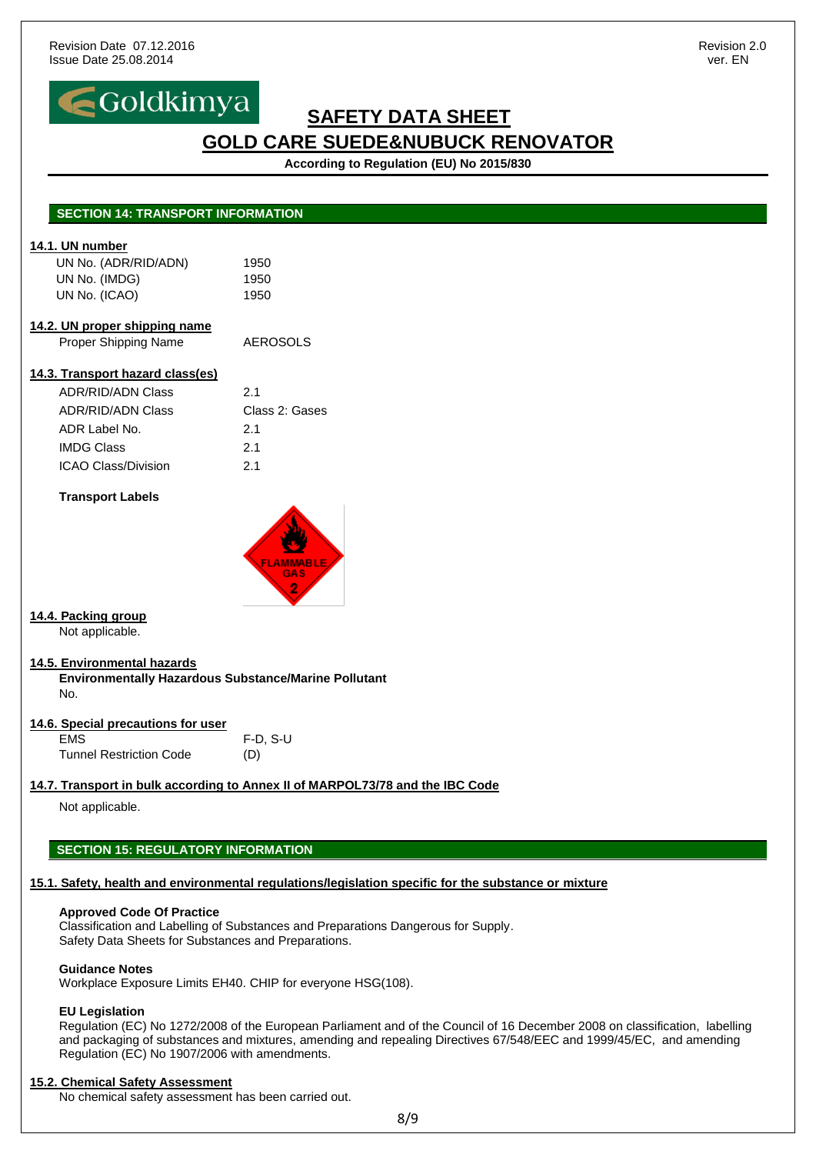

**According to Regulation (EU) No 2015/830**

| 14.1. UN number<br>UN No. (ADR/RID/ADN)                                                                                      | 1950                                                                                                 |
|------------------------------------------------------------------------------------------------------------------------------|------------------------------------------------------------------------------------------------------|
| UN No. (IMDG)                                                                                                                | 1950                                                                                                 |
| UN No. (ICAO)                                                                                                                | 1950                                                                                                 |
| 14.2. UN proper shipping name                                                                                                |                                                                                                      |
| Proper Shipping Name                                                                                                         | <b>AEROSOLS</b>                                                                                      |
| 14.3. Transport hazard class(es)                                                                                             |                                                                                                      |
| <b>ADR/RID/ADN Class</b>                                                                                                     | 2.1                                                                                                  |
| <b>ADR/RID/ADN Class</b>                                                                                                     | Class 2: Gases                                                                                       |
| ADR Label No.                                                                                                                | 2.1                                                                                                  |
| <b>IMDG Class</b>                                                                                                            | 2.1                                                                                                  |
| ICAO Class/Division                                                                                                          | 2.1                                                                                                  |
| <b>Transport Labels</b>                                                                                                      |                                                                                                      |
|                                                                                                                              | LAMMABLE<br><b>GAS</b><br>2                                                                          |
| Not applicable.                                                                                                              |                                                                                                      |
| No.                                                                                                                          | Environmentally Hazardous Substance/Marine Pollutant                                                 |
|                                                                                                                              |                                                                                                      |
| <b>EMS</b>                                                                                                                   | $F-D, S-U$                                                                                           |
| <b>Tunnel Restriction Code</b>                                                                                               | (D)                                                                                                  |
|                                                                                                                              | 14.7. Transport in bulk according to Annex II of MARPOL73/78 and the IBC Code                        |
| Not applicable.                                                                                                              |                                                                                                      |
|                                                                                                                              |                                                                                                      |
| <b>SECTION 15: REGULATORY INFORMATION</b>                                                                                    |                                                                                                      |
|                                                                                                                              | 15.1. Safety, health and environmental regulations/legislation specific for the substance or mixture |
| 14.4. Packing group<br>14.5. Environmental hazards<br>14.6. Special precautions for user<br><b>Approved Code Of Practice</b> |                                                                                                      |

Workplace Exposure Limits EH40. CHIP for everyone HSG(108).

#### **EU Legislation**

Regulation (EC) No 1272/2008 of the European Parliament and of the Council of 16 December 2008 on classification, labelling and packaging of substances and mixtures, amending and repealing Directives 67/548/EEC and 1999/45/EC, and amending Regulation (EC) No 1907/2006 with amendments.

#### **15.2. Chemical Safety Assessment**

No chemical safety assessment has been carried out.